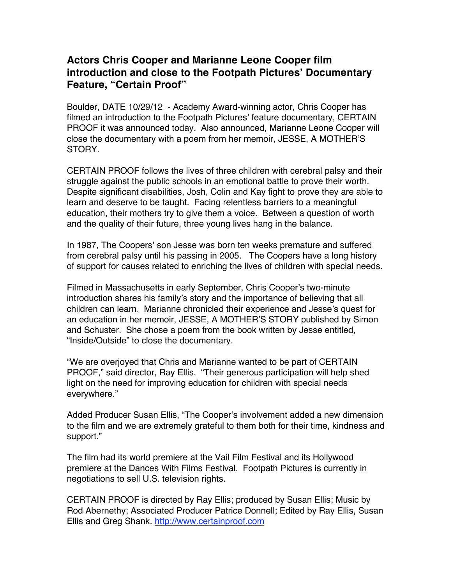## **Actors Chris Cooper and Marianne Leone Cooper film introduction and close to the Footpath Pictures' Documentary Feature, "Certain Proof"**

Boulder, DATE 10/29/12 - Academy Award-winning actor, Chris Cooper has filmed an introduction to the Footpath Pictures' feature documentary, CERTAIN PROOF it was announced today. Also announced, Marianne Leone Cooper will close the documentary with a poem from her memoir, JESSE, A MOTHER'S STORY.

CERTAIN PROOF follows the lives of three children with cerebral palsy and their struggle against the public schools in an emotional battle to prove their worth. Despite significant disabilities, Josh, Colin and Kay fight to prove they are able to learn and deserve to be taught. Facing relentless barriers to a meaningful education, their mothers try to give them a voice. Between a question of worth and the quality of their future, three young lives hang in the balance.

In 1987, The Coopers' son Jesse was born ten weeks premature and suffered from cerebral palsy until his passing in 2005. The Coopers have a long history of support for causes related to enriching the lives of children with special needs.

Filmed in Massachusetts in early September, Chris Cooper's two-minute introduction shares his family's story and the importance of believing that all children can learn. Marianne chronicled their experience and Jesse's quest for an education in her memoir, JESSE, A MOTHER'S STORY published by Simon and Schuster. She chose a poem from the book written by Jesse entitled, "Inside/Outside" to close the documentary.

"We are overjoyed that Chris and Marianne wanted to be part of CERTAIN PROOF," said director, Ray Ellis. "Their generous participation will help shed light on the need for improving education for children with special needs everywhere."

Added Producer Susan Ellis, "The Cooper's involvement added a new dimension to the film and we are extremely grateful to them both for their time, kindness and support."

The film had its world premiere at the Vail Film Festival and its Hollywood premiere at the Dances With Films Festival. Footpath Pictures is currently in negotiations to sell U.S. television rights.

CERTAIN PROOF is directed by Ray Ellis; produced by Susan Ellis; Music by Rod Abernethy; Associated Producer Patrice Donnell; Edited by Ray Ellis, Susan Ellis and Greg Shank. http://www.certainproof.com